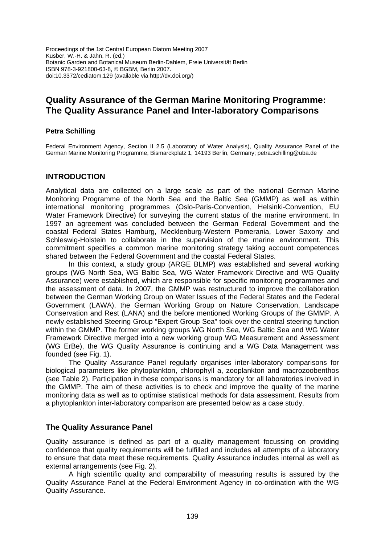Proceedings of the 1st Central European Diatom Meeting 2007 Kusber, W.-H. & Jahn, R. (ed.) Botanic Garden and Botanical Museum Berlin-Dahlem, Freie Universität Berlin ISBN 978-3-921800-63-8, © BGBM, Berlin 2007. doi:10.3372/cediatom.129 (available via http://dx.doi.org/)

# **Quality Assurance of the German Marine Monitoring Programme: The Quality Assurance Panel and Inter-laboratory Comparisons**

#### **Petra Schilling**

Federal Environment Agency, Section II 2.5 (Laboratory of Water Analysis), Quality Assurance Panel of the German Marine Monitoring Programme, Bismarckplatz 1, 14193 Berlin, Germany; petra.schilling@uba.de

#### **INTRODUCTION**

Analytical data are collected on a large scale as part of the national German Marine Monitoring Programme of the North Sea and the Baltic Sea (GMMP) as well as within international monitoring programmes (Oslo-Paris-Convention, Helsinki-Convention, EU Water Framework Directive) for surveying the current status of the marine environment. In 1997 an agreement was concluded between the German Federal Government and the coastal Federal States Hamburg, Mecklenburg-Western Pomerania, Lower Saxony and Schleswig-Holstein to collaborate in the supervision of the marine environment. This commitment specifies a common marine monitoring strategy taking account competences shared between the Federal Government and the coastal Federal States.

In this context, a study group (ARGE BLMP) was established and several working groups (WG North Sea, WG Baltic Sea, WG Water Framework Directive and WG Quality Assurance) were established, which are responsible for specific monitoring programmes and the assessment of data. In 2007, the GMMP was restructured to improve the collaboration between the German Working Group on Water Issues of the Federal States and the Federal Government (LAWA), the German Working Group on Nature Conservation, Landscape Conservation and Rest (LANA) and the before mentioned Working Groups of the GMMP. A newly established Steering Group "Expert Group Sea" took over the central steering function within the GMMP. The former working groups WG North Sea, WG Baltic Sea and WG Water Framework Directive merged into a new working group WG Measurement and Assessment (WG ErBe), the WG Quality Assurance is continuing and a WG Data Management was founded (see Fig. 1).

The Quality Assurance Panel regularly organises inter-laboratory comparisons for biological parameters like phytoplankton, chlorophyll a, zooplankton and macrozoobenthos (see Table 2). Participation in these comparisons is mandatory for all laboratories involved in the GMMP. The aim of these activities is to check and improve the quality of the marine monitoring data as well as to optimise statistical methods for data assessment. Results from a phytoplankton inter-laboratory comparison are presented below as a case study.

## **The Quality Assurance Panel**

Quality assurance is defined as part of a quality management focussing on providing confidence that quality requirements will be fulfilled and includes all attempts of a laboratory to ensure that data meet these requirements. Quality Assurance includes internal as well as external arrangements (see Fig. 2).

A high scientific quality and comparability of measuring results is assured by the Quality Assurance Panel at the Federal Environment Agency in co-ordination with the WG Quality Assurance.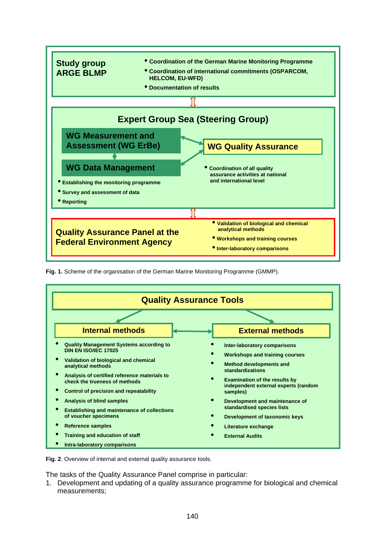

**Fig. 1.** Scheme of the organisation of the German Marine Monitoring Programme (GMMP).



**Fig. 2**. Overview of internal and external quality assurance tools.

The tasks of the Quality Assurance Panel comprise in particular:

1. Development and updating of a quality assurance programme for biological and chemical measurements;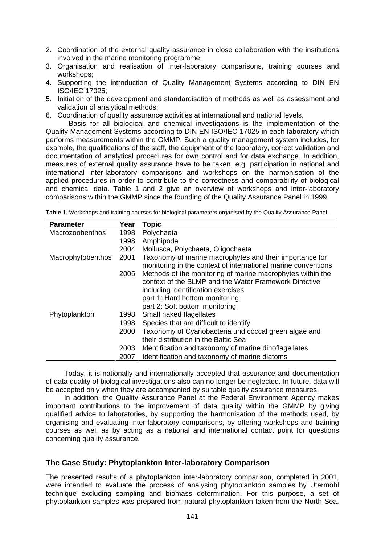- 2. Coordination of the external quality assurance in close collaboration with the institutions involved in the marine monitoring programme;
- 3. Organisation and realisation of inter-laboratory comparisons, training courses and workshops;
- 4. Supporting the introduction of Quality Management Systems according to DIN EN ISO/IEC 17025;
- 5. Initiation of the development and standardisation of methods as well as assessment and validation of analytical methods;
- 6. Coordination of quality assurance activities at international and national levels.

Basis for all biological and chemical investigations is the implementation of the Quality Management Systems according to DIN EN ISO/IEC 17025 in each laboratory which performs measurements within the GMMP. Such a quality management system includes, for example, the qualifications of the staff, the equipment of the laboratory, correct validation and documentation of analytical procedures for own control and for data exchange. In addition, measures of external quality assurance have to be taken, e.g. participation in national and international inter-laboratory comparisons and workshops on the harmonisation of the applied procedures in order to contribute to the correctness and comparability of biological and chemical data. Table 1 and 2 give an overview of workshops and inter-laboratory comparisons within the GMMP since the founding of the Quality Assurance Panel in 1999.

| <b>Parameter</b>  | Year | <b>Topic</b>                                                  |
|-------------------|------|---------------------------------------------------------------|
| Macrozoobenthos   | 1998 | Polychaeta                                                    |
|                   | 1998 | Amphipoda                                                     |
|                   | 2004 | Mollusca, Polychaeta, Oligochaeta                             |
| Macrophytobenthos | 2001 | Taxonomy of marine macrophytes and their importance for       |
|                   |      | monitoring in the context of international marine conventions |
|                   | 2005 | Methods of the monitoring of marine macrophytes within the    |
|                   |      | context of the BLMP and the Water Framework Directive         |
|                   |      | including identification exercises                            |
|                   |      | part 1: Hard bottom monitoring                                |
|                   |      | part 2: Soft bottom monitoring                                |
| Phytoplankton     | 1998 | Small naked flagellates                                       |
|                   | 1998 | Species that are difficult to identify                        |
|                   | 2000 | Taxonomy of Cyanobacteria und coccal green algae and          |
|                   |      | their distribution in the Baltic Sea                          |
|                   | 2003 | Identification and taxonomy of marine dinoflagellates         |
|                   | 2007 | Identification and taxonomy of marine diatoms                 |

**Table 1.** Workshops and training courses for biological parameters organised by the Quality Assurance Panel.

Today, it is nationally and internationally accepted that assurance and documentation of data quality of biological investigations also can no longer be neglected. In future, data will be accepted only when they are accompanied by suitable quality assurance measures.

In addition, the Quality Assurance Panel at the Federal Environment Agency makes important contributions to the improvement of data quality within the GMMP by giving qualified advice to laboratories, by supporting the harmonisation of the methods used, by organising and evaluating inter-laboratory comparisons, by offering workshops and training courses as well as by acting as a national and international contact point for questions concerning quality assurance.

#### **The Case Study: Phytoplankton Inter-laboratory Comparison**

The presented results of a phytoplankton inter-laboratory comparison, completed in 2001, were intended to evaluate the process of analysing phytoplankton samples by Utermöhl technique excluding sampling and biomass determination. For this purpose, a set of phytoplankton samples was prepared from natural phytoplankton taken from the North Sea.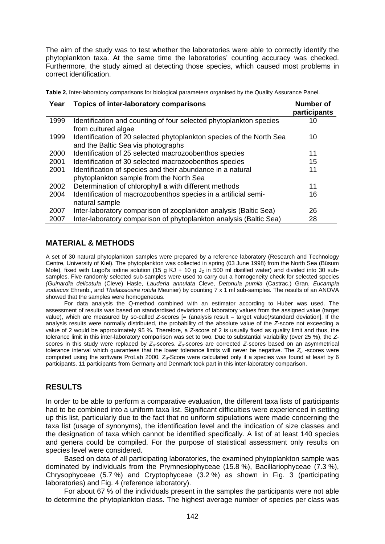The aim of the study was to test whether the laboratories were able to correctly identify the phytoplankton taxa. At the same time the laboratories' counting accuracy was checked. Furthermore, the study aimed at detecting those species, which caused most problems in correct identification.

|  | Table 2. Inter-laboratory comparisons for biological parameters organised by the Quality Assurance Panel. |  |
|--|-----------------------------------------------------------------------------------------------------------|--|
|  |                                                                                                           |  |

| Year | <b>Topics of inter-laboratory comparisons</b>                                                              | <b>Number of</b><br>participants |
|------|------------------------------------------------------------------------------------------------------------|----------------------------------|
| 1999 | Identification and counting of four selected phytoplankton species<br>from cultured algae                  | 10                               |
| 1999 | Identification of 20 selected phytoplankton species of the North Sea<br>and the Baltic Sea via photographs | 10                               |
| 2000 | Identification of 25 selected macrozoobenthos species                                                      | 11                               |
| 2001 | Identification of 30 selected macrozoobenthos species                                                      | 15                               |
| 2001 | Identification of species and their abundance in a natural<br>phytoplankton sample from the North Sea      | 11                               |
| 2002 | Determination of chlorophyll a with different methods                                                      | 11                               |
| 2004 | Identification of macrozoobenthos species in a artificial semi-<br>natural sample                          | 16                               |
| 2007 | Inter-laboratory comparison of zooplankton analysis (Baltic Sea)                                           | 26                               |
| 2007 | Inter-laboratory comparison of phytoplankton analysis (Baltic Sea)                                         | 28                               |

#### **MATERIAL & METHODS**

A set of 30 natural phytoplankton samples were prepared by a reference laboratory (Research and Technology Centre, University of Kiel). The phytoplankton was collected in spring (03 June 1998) from the North Sea (Büsum Mole), fixed with Lugol's iodine solution (15 g KJ + 10 g J<sub>2</sub> in 500 ml distilled water) and divided into 30 subsamples. Five randomly selected sub-samples were used to carry out a homogeneity check for selected species *(Guinardia delicatula* (Cleve) Hasle, *Lauderia annulata* Cleve, *Detonula pumila* (Castrac.) Gran, *Eucampia zodiacus* Ehrenb., and *Thalassiosira rotula* Meunier) by counting 7 x 1 ml sub-samples. The results of an ANOVA showed that the samples were homogeneous.

For data analysis the Q-method combined with an estimator according to Huber was used. The assessment of results was based on standardised deviations of laboratory values from the assigned value (target value), which are measured by so-called *Z*-scores [= (analysis result – target value)/standard deviation]. If the analysis results were normally distributed, the probability of the absolute value of the *Z*-score not exceeding a value of 2 would be approximately 95 %. Therefore, a *Z*-score of 2 is usually fixed as quality limit and thus, the tolerance limit in this inter-laboratory comparison was set to two. Due to substantial variability (over 25 %), the *Z*scores in this study were replaced by *Zu*-scores. *Zu*-scores are corrected *Z*-scores based on an asymmetrical tolerance interval which guarantees that the lower tolerance limits will never be negative. The *Zu* -scores were computed using the software ProLab 2000. Z<sub>u</sub>-Score were calculated only if a species was found at least by 6 participants. 11 participants from Germany and Denmark took part in this inter-laboratory comparison.

## **RESULTS**

In order to be able to perform a comparative evaluation, the different taxa lists of participants had to be combined into a uniform taxa list. Significant difficulties were experienced in setting up this list, particularly due to the fact that no uniform stipulations were made concerning the taxa list (usage of synonyms), the identification level and the indication of size classes and the designation of taxa which cannot be identified specifically. A list of at least 140 species and genera could be compiled. For the purpose of statistical assessment only results on species level were considered.

Based on data of all participating laboratories, the examined phytoplankton sample was dominated by individuals from the Prymnesiophyceae (15.8 %), Bacillariophyceae (7.3 %), Chrysophyceae (5.7 %) and Cryptophyceae (3.2 %) as shown in Fig. 3 (participating laboratories) and Fig. 4 (reference laboratory).

For about 67 % of the individuals present in the samples the participants were not able to determine the phytoplankton class. The highest average number of species per class was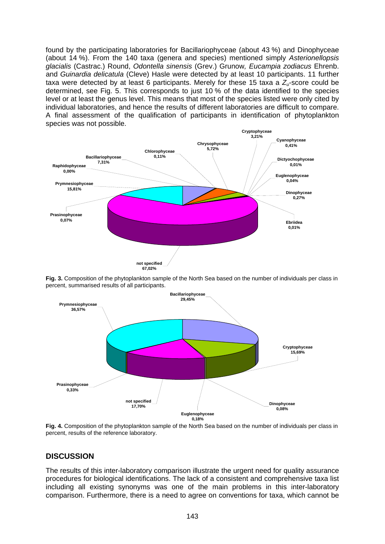found by the participating laboratories for Bacillariophyceae (about 43 %) and Dinophyceae (about 14 %). From the 140 taxa (genera and species) mentioned simply *Asterionellopsis glacialis* (Castrac.) Round, *Odontella sinensis* (Grev.) Grunow*, Eucampia zodiacus* Ehrenb. and *Guinardia delicatula* (Cleve) Hasle were detected by at least 10 participants. 11 further taxa were detected by at least 6 participants. Merely for these 15 taxa a  $Z_i$ -score could be determined, see Fig. 5. This corresponds to just 10 % of the data identified to the species level or at least the genus level. This means that most of the species listed were only cited by individual laboratories, and hence the results of different laboratories are difficult to compare. A final assessment of the qualification of participants in identification of phytoplankton species was not possible.



**Fig. 3.** Composition of the phytoplankton sample of the North Sea based on the number of individuals per class in percent, summarised results of all participants.



**Fig. 4.** Composition of the phytoplankton sample of the North Sea based on the number of individuals per class in percent, results of the reference laboratory.

## **DISCUSSION**

The results of this inter-laboratory comparison illustrate the urgent need for quality assurance procedures for biological identifications. The lack of a consistent and comprehensive taxa list including all existing synonyms was one of the main problems in this inter-laboratory comparison. Furthermore, there is a need to agree on conventions for taxa, which cannot be